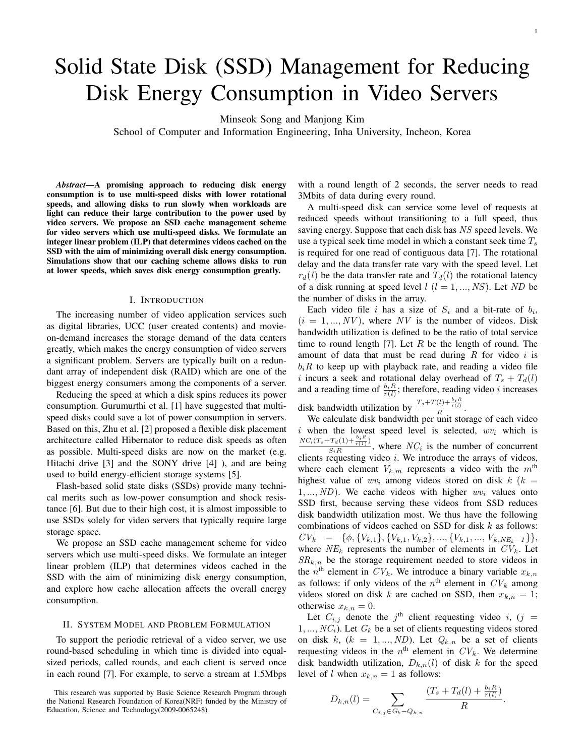# Solid State Disk (SSD) Management for Reducing Disk Energy Consumption in Video Servers

Minseok Song and Manjong Kim

School of Computer and Information Engineering, Inha University, Incheon, Korea

*Abstract*—A promising approach to reducing disk energy consumption is to use multi-speed disks with lower rotational speeds, and allowing disks to run slowly when workloads are light can reduce their large contribution to the power used by video servers. We propose an SSD cache management scheme for video servers which use multi-speed disks. We formulate an integer linear problem (ILP) that determines videos cached on the SSD with the aim of minimizing overall disk energy consumption. Simulations show that our caching scheme allows disks to run at lower speeds, which saves disk energy consumption greatly.

## I. INTRODUCTION

The increasing number of video application services such as digital libraries, UCC (user created contents) and movieon-demand increases the storage demand of the data centers greatly, which makes the energy consumption of video servers a significant problem. Servers are typically built on a redundant array of independent disk (RAID) which are one of the biggest energy consumers among the components of a server.

Reducing the speed at which a disk spins reduces its power consumption. Gurumurthi et al. [1] have suggested that multispeed disks could save a lot of power consumption in servers. Based on this, Zhu et al. [2] proposed a flexible disk placement architecture called Hibernator to reduce disk speeds as often as possible. Multi-speed disks are now on the market (e.g. Hitachi drive [3] and the SONY drive [4] ), and are being used to build energy-efficient storage systems [5].

Flash-based solid state disks (SSDs) provide many technical merits such as low-power consumption and shock resistance [6]. But due to their high cost, it is almost impossible to use SSDs solely for video servers that typically require large storage space.

We propose an SSD cache management scheme for video servers which use multi-speed disks. We formulate an integer linear problem (ILP) that determines videos cached in the SSD with the aim of minimizing disk energy consumption, and explore how cache allocation affects the overall energy consumption.

## II. SYSTEM MODEL AND PROBLEM FORMULATION

To support the periodic retrieval of a video server, we use round-based scheduling in which time is divided into equalsized periods, called rounds, and each client is served once in each round [7]. For example, to serve a stream at 1.5Mbps

with a round length of 2 seconds, the server needs to read 3Mbits of data during every round.

A multi-speed disk can service some level of requests at reduced speeds without transitioning to a full speed, thus saving energy. Suppose that each disk has NS speed levels. We use a typical seek time model in which a constant seek time  $T_s$ is required for one read of contiguous data [7]. The rotational delay and the data transfer rate vary with the speed level. Let  $r_d(l)$  be the data transfer rate and  $T_d(l)$  the rotational latency of a disk running at speed level  $l$   $(l = 1, ..., NS)$ . Let ND be the number of disks in the array.

Each video file i has a size of  $S_i$  and a bit-rate of  $b_i$ ,  $(i = 1, ..., NV)$ , where NV is the number of videos. Disk bandwidth utilization is defined to be the ratio of total service time to round length [7]. Let R be the length of round. The amount of data that must be read during  $R$  for video i is  $b_iR$  to keep up with playback rate, and reading a video file i incurs a seek and rotational delay overhead of  $T_s + T_d(l)$ and a reading time of  $\frac{b_i R}{r(l)}$ ; therefore, reading video i increases

disk bandwidth utilization by  $\frac{T_s+T(l)+\frac{b_i R}{r(l)}}{R}$ .

We calculate disk bandwidth per unit storage of each video i when the lowest speed level is selected,  $wv_i$  which is  $NC_i(T_s+T_d(1)+\frac{b_i R}{r(1)})$  $\frac{d^{2}a(Y+ r(1))}{S_{i}R}$ , where  $NC_{i}$  is the number of concurrent clients requesting video  $i$ . We introduce the arrays of videos, where each element  $V_{k,m}$  represents a video with the  $m<sup>th</sup>$ highest value of  $wv_i$  among videos stored on disk  $k(k)$ 1, ...,  $ND$ ). We cache videos with higher  $wv_i$  values onto SSD first, because serving these videos from SSD reduces disk bandwidth utilization most. We thus have the following combinations of videos cached on SSD for disk  $k$  as follows:  $CV_k = \{\phi, \{V_{k,1}\}, \{V_{k,1}, V_{k,2}\}, \ldots, \{V_{k,1}, V_{k,NE_k-1}\}\},$ where  $NE_k$  represents the number of elements in  $CV_k$ . Let  $SR_{k,n}$  be the storage requirement needed to store videos in the  $n^{\text{th}}$  element in  $CV_k$ . We introduce a binary variable  $x_{k,n}$ as follows: if only videos of the  $n<sup>th</sup>$  element in  $CV_k$  among videos stored on disk k are cached on SSD, then  $x_{k,n} = 1$ ; otherwise  $x_{k,n} = 0$ .

Let  $C_{i,j}$  denote the j<sup>th</sup> client requesting video i, (j =  $1, ..., NC_i$ ). Let  $G_k$  be a set of clients requesting videos stored on disk k,  $(k = 1, ..., ND)$ . Let  $Q_{k,n}$  be a set of clients requesting videos in the  $n^{\text{th}}$  element in  $CV_k$ . We determine disk bandwidth utilization,  $D_{k,n}(l)$  of disk k for the speed level of l when  $x_{k,n} = 1$  as follows:

$$
D_{k,n}(l) = \sum_{C_{i,j} \in G_k - Q_{k,n}} \frac{(T_s + T_d(l) + \frac{b_i R}{r(l)})}{R}
$$

.

This research was supported by Basic Science Research Program through the National Research Foundation of Korea(NRF) funded by the Ministry of Education, Science and Technology(2009-0065248)